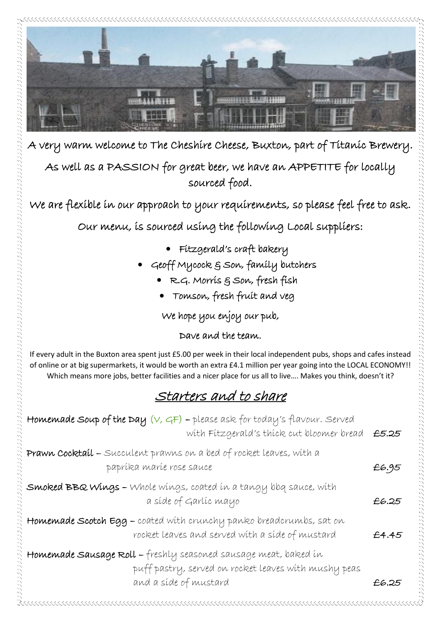

A very warm welcome to The Cheshire Cheese, Buxton, part of Titanic Brewery.

As well as a PASSION for great beer, we have an APPETITE for locally sourced food.

We are flexible in our approach to your requirements, so please feel free to ask.

Our menu, is sourced using the following Local suppliers:

- Fitzgerald's craft bakery
- Geoff Mycock & Son, family butchers
	- R.G. Morris & Son, fresh fish
	- Tomson, fresh fruit and veg

We hope you enjoy our pub,

#### Dave and the team.

If every adult in the Buxton area spent just £5.00 per week in their local independent pubs, shops and cafes instead of online or at big supermarkets, it would be worth an extra £4.1 million per year going into the LOCAL ECONOMY!! Which means more jobs, better facilities and a nicer place for us all to live.... Makes you think, doesn't it?

## Starters and to share

| <b>Homemade Soup of the Day</b> $(V, GF)$ - please ask for today's flavour. Served<br>with Fitzgerald's thick cut bloomer bread £5.25            |       |
|--------------------------------------------------------------------------------------------------------------------------------------------------|-------|
| Prawn Cocktail - Succulent prawns on a bed of rocket leaves, with a<br>papríka maríe rose sauce                                                  | £6.95 |
| <b>Smoked BBQ Wings -</b> Whole wings, coated in a tangy bbq sauce, with<br>a síde of Garlíc mayo                                                | £6.25 |
| Homemade Scotch Egg - coated with crunchy panko breadcrumbs, sat on<br>rocket leaves and served with a side of mustard                           | £4.45 |
| Homemade Sausage Roll - freshly seasoned sausage meat, baked in<br>puff pastry, served on rocket leaves with mushy peas<br>and a síde of mustard | £6.25 |
|                                                                                                                                                  |       |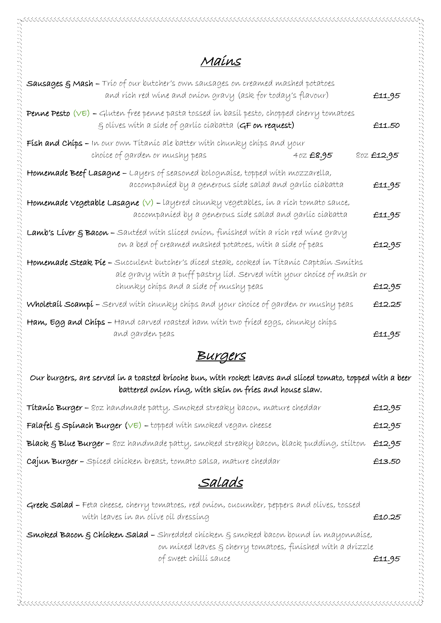## Mains

| <b>Sausages &amp; Mash –</b> Trío of our butcher's own sausages on creamed mashed potatoes<br>and rích red wine and onion gravy (ask for today's flavour)                                                      | £11.95                 |
|----------------------------------------------------------------------------------------------------------------------------------------------------------------------------------------------------------------|------------------------|
| <b>Penne Pesto (VE) –</b> Gluten free penne pasta tossed in basil pesto, chopped cherry tomatoes<br>§ olíves with a síde of garlíc cíabatta (GF on request)                                                    | £11.50                 |
| <b>Fish and Chips –</b> In our own Titanic ale batter with chunky chips and your<br>choice of garden or mushy peas<br>40Z £8.95                                                                                | 80Z <del>£</del> 12.95 |
| <b>Homemade Beef Lasagne –</b> Layers of seasoned bolognaise, topped with mozzarella,<br>accompaníed by a generous síde salad and garlíc cíabatta                                                              | £11.95                 |
| <b>Homemade Vegetable Lasagne (V) –</b> layered chunky vegetables, ín a rích tomato sauce,<br>accompaníed by a generous síde salad and garlíc cíabatta                                                         | £11.95                 |
| <b>Lamb's Liver § Bacon -</b> Sautéed with sliced onion, finished with a rich red wine gravy<br>on a bed of creamed mashed potatoes, with a side of peas                                                       | £12.95                 |
| <b>Homemade Steak Píe –</b> Succulent butcher's díced steak, cooked ín Títaníc Captaín Smíths<br>ale gravy with a puff pastry líd. Served with your choice of mash or<br>chunky chíps and a síde of mushy peas | £12.95                 |
| <b>Wholetail Scampi –</b> Served with chunky chips and your choice of garden or mushy peas                                                                                                                     | £12.25                 |
| <b>Ham, Egg and Chips –</b> Hand carved roasted ham with two fried eggs, chunky chips<br>and garden peas                                                                                                       | £11.95                 |

### Burgers

Our burgers, are served in a toasted brioche bun, with rocket leaves and sliced tomato, topped with a beer battered onion ring, with skin on fries and house slaw.

| <b>Titanic Burger –</b> 80z handmade patty, Smoked streaky bacon, mature cheddar                              | £12.95 |
|---------------------------------------------------------------------------------------------------------------|--------|
| <b>Falafel &amp; Spinach Burger (VE) –</b> topped with smoked vegan cheese                                    | £12.95 |
| <b>Black &amp; Blue Burger -</b> 80z handmade patty, smoked streaky bacon, black pudding, stilton $\pm$ 12.95 |        |
| Cajun Burger - Spíced chícken breast, tomato salsa, mature cheddar                                            | £13.50 |

Salads

Greek Salad – Feta cheese, cherry tomatoes, red onion, cucumber, peppers and olives, tossed with leaves in an olive oil dressing **E10.25** 

Smoked Bacon & Chicken Salad - Shredded chicken & smoked bacon bound in mayonnaise, on mixed leaves & cherry tomatoes, finished with a drizzle of sweet chilli sauce **E11.95**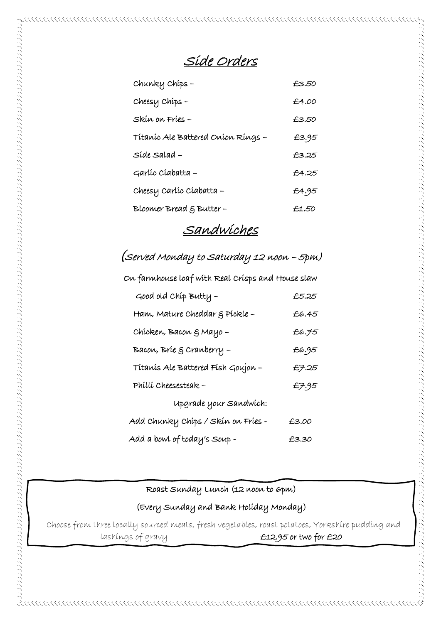Side Orders

 $\mathcal{A}\otimes\mathcal{A}\otimes\mathcal{A}\otimes\mathcal{A}\otimes\mathcal{A}\otimes\mathcal{A}\otimes\mathcal{A}\otimes\mathcal{A}\otimes\mathcal{A}\otimes\mathcal{A}\otimes\mathcal{A}\otimes\mathcal{A}\otimes\mathcal{A}\otimes\mathcal{A}\otimes\mathcal{A}\otimes\mathcal{A}\otimes\mathcal{A}\otimes\mathcal{A}\otimes\mathcal{A}\otimes\mathcal{A}\otimes\mathcal{A}\otimes\mathcal{A}\otimes\mathcal{A}\otimes\mathcal{A}\otimes\mathcal{A}\otimes\mathcal{A}\otimes\mathcal{A}\otimes\mathcal{$ 

| Chunky Chíps -                     | £3.50 |
|------------------------------------|-------|
| Cheesy Chips -                     | £4.00 |
| Skín on Fríes -                    | £3.50 |
| Titanic Ale Battered Onion Rings - | £3.95 |
| Síde Salad –                       | £3.25 |
| Garlíc Cíabatta –                  | £4.25 |
| Cheesy Carlíc Cíabatta –           | £4.95 |
| Bloomer Bread $\xi$ Butter -       | £1.50 |

#### Sandwiches

## (Served Monday to Saturday 12 noon – 5pm)

| On farmhouse loaf with Real Crisps and House slaw |       |  |
|---------------------------------------------------|-------|--|
| Good old Chip Butty -                             | £5.25 |  |
| Ham, Mature Cheddar § Píckle –                    | £6.45 |  |
| Chícken, Bacon & Mayo -                           | £6.75 |  |
| Bacon, Brie & Cranberry -                         | £6.95 |  |
| Títanís Ale Battered Físh Goujon -                | £7.25 |  |
| Phíllí Cheesesteak –                              | £7.95 |  |
| upgrade your Sandwich:                            |       |  |
| Add Chunky Chíps / Skín on Fríes -                | £3.00 |  |
| Add a bowl of today's Soup -                      | £3.30 |  |

#### Roast Sunday Lunch (12 noon to 6pm)

(Every Sunday and Bank Holiday Monday)

 Choose from three locally sourced meats, fresh vegetables, roast potatoes, Yorkshire pudding and lashings of gravy **E12.95 or two for £20**